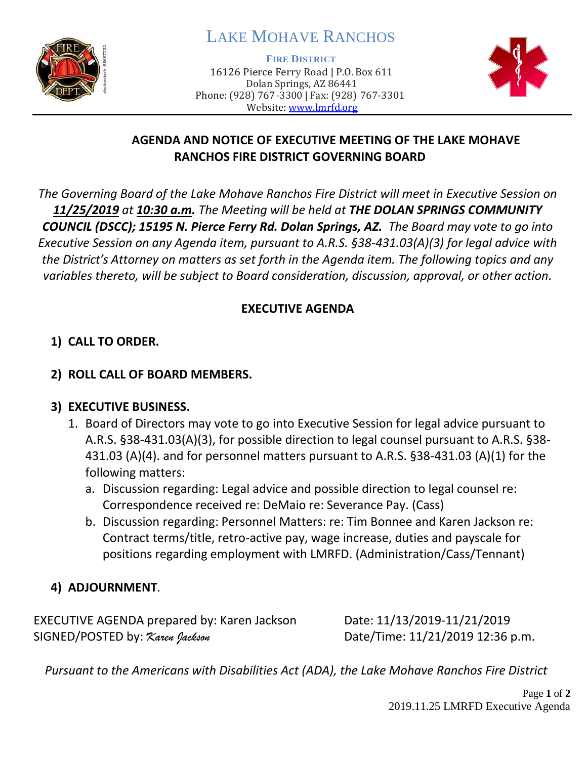

# LAKE MOHAVE RANCHOS

**FIRE DISTRICT**

16126 Pierce Ferry Road | P.O. Box 611 Dolan Springs, AZ 86441 Phone: (928) 767-3300 | Fax: (928) 767-3301 Website: [www.lmrfd.org](http://www.lmrfd.org/)



## **AGENDA AND NOTICE OF EXECUTIVE MEETING OF THE LAKE MOHAVE RANCHOS FIRE DISTRICT GOVERNING BOARD**

*The Governing Board of the Lake Mohave Ranchos Fire District will meet in Executive Session on 11/25/2019 at 10:30 a.m. The Meeting will be held at THE DOLAN SPRINGS COMMUNITY COUNCIL (DSCC); 15195 N. Pierce Ferry Rd. Dolan Springs, AZ. The Board may vote to go into Executive Session on any Agenda item, pursuant to A.R.S. §38-431.03(A)(3) for legal advice with the District's Attorney on matters as set forth in the Agenda item. The following topics and any variables thereto, will be subject to Board consideration, discussion, approval, or other action.* 

## **EXECUTIVE AGENDA**

# **1) CALL TO ORDER.**

#### **2) ROLL CALL OF BOARD MEMBERS.**

## **3) EXECUTIVE BUSINESS.**

- 1. Board of Directors may vote to go into Executive Session for legal advice pursuant to A.R.S. §38-431.03(A)(3), for possible direction to legal counsel pursuant to A.R.S. §38- 431.03 (A)(4). and for personnel matters pursuant to A.R.S. §38-431.03 (A)(1) for the following matters:
	- a. Discussion regarding: Legal advice and possible direction to legal counsel re: Correspondence received re: DeMaio re: Severance Pay. (Cass)
	- b. Discussion regarding: Personnel Matters: re: Tim Bonnee and Karen Jackson re: Contract terms/title, retro-active pay, wage increase, duties and payscale for positions regarding employment with LMRFD. (Administration/Cass/Tennant)

# **4) ADJOURNMENT**.

EXECUTIVE AGENDA prepared by: Karen Jackson Date: 11/13/2019-11/21/2019 SIGNED/POSTED by: *Karen Jackson* Date/Time: 11/21/2019 12:36 p.m.

*Pursuant to the Americans with Disabilities Act (ADA), the Lake Mohave Ranchos Fire District*